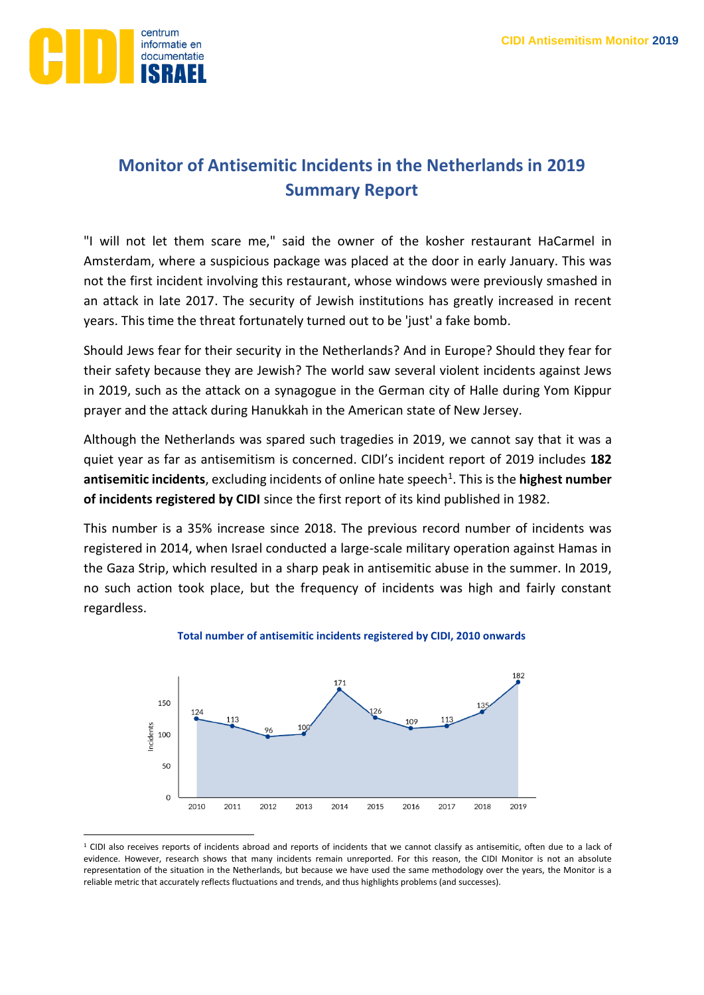

# **Monitor of Antisemitic Incidents in the Netherlands in 2019 Summary Report**

"I will not let them scare me," said the owner of the kosher restaurant HaCarmel in Amsterdam, where a suspicious package was placed at the door in early January. This was not the first incident involving this restaurant, whose windows were previously smashed in an attack in late 2017. The security of Jewish institutions has greatly increased in recent years. This time the threat fortunately turned out to be 'just' a fake bomb.

Should Jews fear for their security in the Netherlands? And in Europe? Should they fear for their safety because they are Jewish? The world saw several violent incidents against Jews in 2019, such as the attack on a synagogue in the German city of Halle during Yom Kippur prayer and the attack during Hanukkah in the American state of New Jersey.

Although the Netherlands was spared such tragedies in 2019, we cannot say that it was a quiet year as far as antisemitism is concerned. CIDI's incident report of 2019 includes **182**  antisemitic incidents, excluding incidents of online hate speech<sup>1</sup>. This is the highest number **of incidents registered by CIDI** since the first report of its kind published in 1982.

This number is a 35% increase since 2018. The previous record number of incidents was registered in 2014, when Israel conducted a large-scale military operation against Hamas in the Gaza Strip, which resulted in a sharp peak in antisemitic abuse in the summer. In 2019, no such action took place, but the frequency of incidents was high and fairly constant regardless.



### **Total number of antisemitic incidents registered by CIDI, 2010 onwards**

<sup>&</sup>lt;sup>1</sup> CIDI also receives reports of incidents abroad and reports of incidents that we cannot classify as antisemitic, often due to a lack of evidence. However, research shows that many incidents remain unreported. For this reason, the CIDI Monitor is not an absolute representation of the situation in the Netherlands, but because we have used the same methodology over the years, the Monitor is a reliable metric that accurately reflects fluctuations and trends, and thus highlights problems (and successes).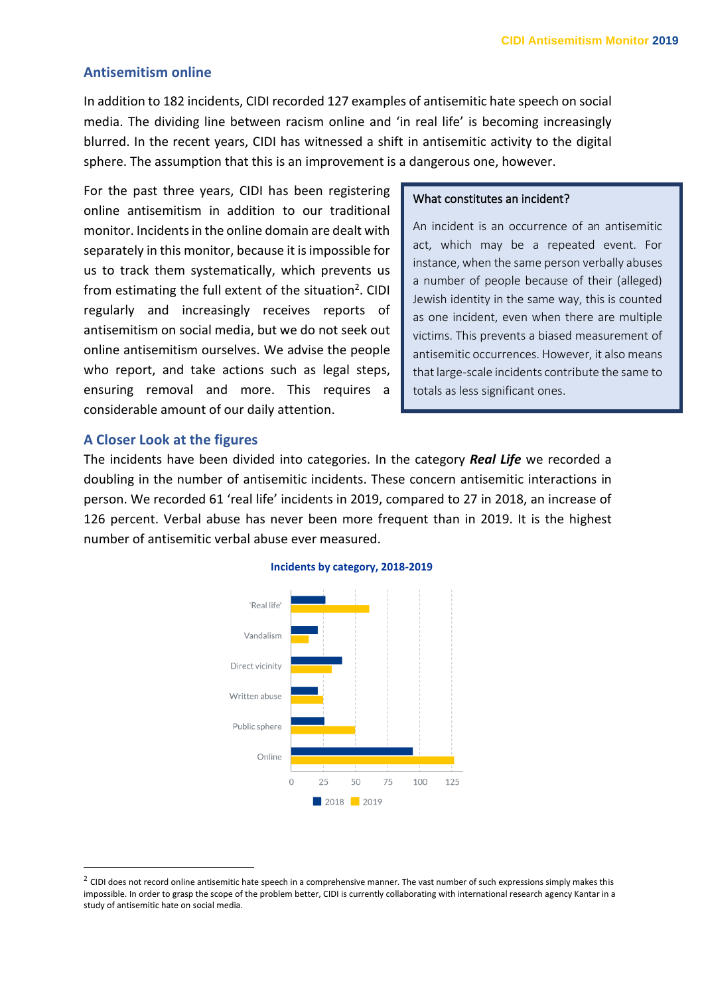# **Antisemitism online**

In addition to 182 incidents, CIDI recorded 127 examples of antisemitic hate speech on social media. The dividing line between racism online and 'in real life' is becoming increasingly blurred. In the recent years, CIDI has witnessed a shift in antisemitic activity to the digital sphere. The assumption that this is an improvement is a dangerous one, however.

For the past three years, CIDI has been registering online antisemitism in addition to our traditional monitor. Incidents in the online domain are dealt with separately in this monitor, because it is impossible for us to track them systematically, which prevents us from estimating the full extent of the situation<sup>2</sup>. CIDI regularly and increasingly receives reports of antisemitism on social media, but we do not seek out online antisemitism ourselves. We advise the people who report, and take actions such as legal steps, ensuring removal and more. This requires a considerable amount of our daily attention.

### What constitutes an incident?

An incident is an occurrence of an antisemitic act, which may be a repeated event. For instance, when the same person verbally abuses a number of people because of their (alleged) Jewish identity in the same way, this is counted as one incident, even when there are multiple victims. This prevents a biased measurement of antisemitic occurrences. However, it also means that large-scale incidents contribute the same to totals as less significant ones.

### **A Closer Look at the figures**

The incidents have been divided into categories. In the category *Real Life* we recorded a doubling in the number of antisemitic incidents. These concern antisemitic interactions in person. We recorded 61 'real life' incidents in 2019, compared to 27 in 2018, an increase of 126 percent. Verbal abuse has never been more frequent than in 2019. It is the highest number of antisemitic verbal abuse ever measured.



#### **Incidents by category, 2018-2019**

 $^2$  CIDI does not record online antisemitic hate speech in a comprehensive manner. The vast number of such expressions simply makes this impossible. In order to grasp the scope of the problem better, CIDI is currently collaborating with international research agency Kantar in a study of antisemitic hate on social media.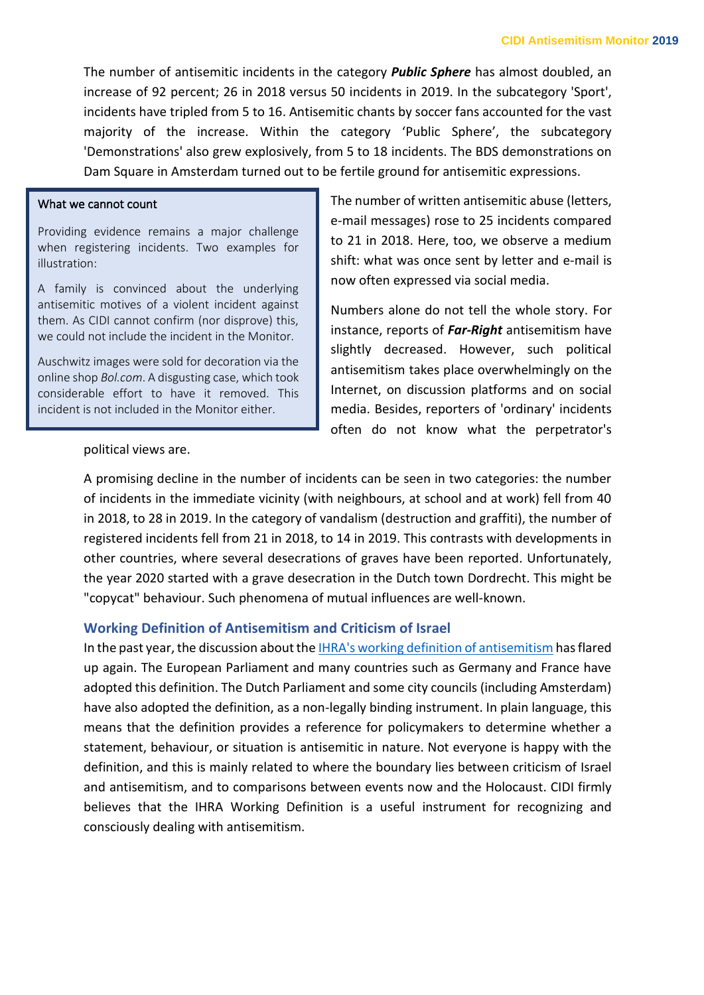The number of antisemitic incidents in the category *Public Sphere* has almost doubled, an increase of 92 percent; 26 in 2018 versus 50 incidents in 2019. In the subcategory 'Sport', incidents have tripled from 5 to 16. Antisemitic chants by soccer fans accounted for the vast majority of the increase. Within the category 'Public Sphere', the subcategory 'Demonstrations' also grew explosively, from 5 to 18 incidents. The BDS demonstrations on Dam Square in Amsterdam turned out to be fertile ground for antisemitic expressions.

## What we cannot count

Providing evidence remains a major challenge when registering incidents. Two examples for illustration:

A family is convinced about the underlying antisemitic motives of a violent incident against them. As CIDI cannot confirm (nor disprove) this, we could not include the incident in the Monitor.

Auschwitz images were sold for decoration via the online shop *Bol.com*. A disgusting case, which took considerable effort to have it removed. This incident is not included in the Monitor either.

The number of written antisemitic abuse (letters, e-mail messages) rose to 25 incidents compared to 21 in 2018. Here, too, we observe a medium shift: what was once sent by letter and e-mail is now often expressed via social media.

Numbers alone do not tell the whole story. For instance, reports of *Far-Right* antisemitism have slightly decreased. However, such political antisemitism takes place overwhelmingly on the Internet, on discussion platforms and on social media. Besides, reporters of 'ordinary' incidents often do not know what the perpetrator's

### political views are.

A promising decline in the number of incidents can be seen in two categories: the number of incidents in the immediate vicinity (with neighbours, at school and at work) fell from 40 in 2018, to 28 in 2019. In the category of vandalism (destruction and graffiti), the number of registered incidents fell from 21 in 2018, to 14 in 2019. This contrasts with developments in other countries, where several desecrations of graves have been reported. Unfortunately, the year 2020 started with a grave desecration in the Dutch town Dordrecht. This might be "copycat" behaviour. Such phenomena of mutual influences are well-known.

# **Working Definition of Antisemitism and Criticism of Israel**

In the past year, the discussion about th[e IHRA's working definition of antisemitism](https://www.holocaustremembrance.com/working-definition-antisemitism) has flared up again. The European Parliament and many countries such as Germany and France have adopted this definition. The Dutch Parliament and some city councils (including Amsterdam) have also adopted the definition, as a non-legally binding instrument. In plain language, this means that the definition provides a reference for policymakers to determine whether a statement, behaviour, or situation is antisemitic in nature. Not everyone is happy with the definition, and this is mainly related to where the boundary lies between criticism of Israel and antisemitism, and to comparisons between events now and the Holocaust. CIDI firmly believes that the IHRA Working Definition is a useful instrument for recognizing and consciously dealing with antisemitism.